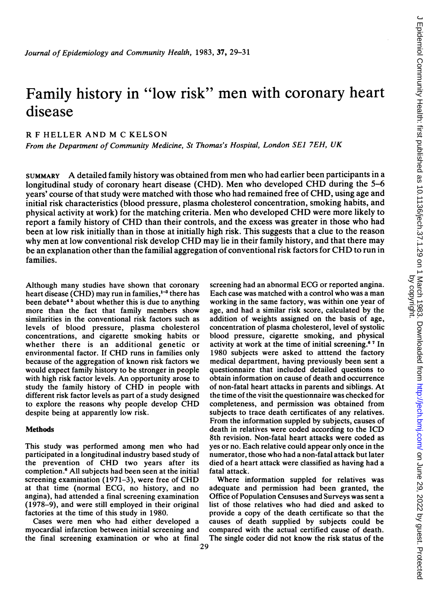# Family history in "low risk" men with coronary heart disease

## R <sup>F</sup> HELLER AND M C KELSON

From the Department of Community Medicine, St Thomas's Hospital, London SEJ 7EH, UK

SUMMARY A detailed family history was obtained from men who had earlier been participants in <sup>a</sup> longitudinal study of coronary heart disease (CHD). Men who developed CHD during the 5-6 years' course of that study were matched with those who had remained free of CHD, using age and initial risk characteristics (blood pressure, plasma cholesterol concentration, smoking habits, and physical activity at work) for the matching criteria. Men who developed CHD were more likely to report <sup>a</sup> family history of CHD than their controls, and the excess was greater in those who had been at low risk initially than in those at initially high risk. This suggests that a clue to the reason why men at low conventional risk develop CHD may lie in their family history, and that there may be an explanation other than the familial aggregation of conventional risk factors for CHD to run in families.

Although many studies have shown that coronary heart disease (CHD) may run in families, $1<sup>-3</sup>$  there has been debate<sup>45</sup> about whether this is due to anything more than the fact that family members show similarities in the conventional risk factors such as levels of blood pressure, plasma cholesterol concentrations, and cigarette smoking habits or whether there is an additional genetic or environmental factor. If CHD runs in families only because of the aggregation of known risk factors we would expect family history to be stronger in people with high risk factor levels. An opportunity arose to study the family history of CHD in people with different risk factor levels as part of a study designed to explore the reasons why people develop CHD despite being at apparently low risk.

### **Methods**

This study was performed among men who had participated in a longitudinal industry based study of the prevention of CHD two years after its completion.6 All subjects had been seen at the initial screening examination (1971-3), were free of CHD at that time (normal ECG, no history, and no angina), had attended a final screening examination (1978-9), and were still employed in their original factories at the time of this study in 1980.

Cases were men who had either developed a myocardial infarction between initial screening and the final screening examination or who at final screening had an abnormal ECG or reported angina. Each case was matched with a control who was a man working in the same factory, was within one year of age, and had a similar risk score, calculated by the addition of weights assigned on the basis of age, concentration of plasma cholesterol, level of systolic blood pressure, cigarette smoking, and physical activity at work at the time of initial screening.6 7 In 1980 subjects were asked to atttend the factory medical department, having previously been sent a questionnaire that included detailed questions to obtain information on cause of death and occurrence of non-fatal heart attacks in parents and siblings. At the time of the visit the questionnaire was checked for completeness, and permission was obtained from subjects to trace death certificates of any relatives. From the information suppled by subjects, causes of death in relatives were coded according to the ICD 8th revision. Non-fatal heart attacks were coded as yes or no. Each relative could appear only once in the numerator, those who had a non-fatal attack but later died of a heart attack were classified as having had a fatal attack.

Where information suppled for relatives was adequate and permission had been granted, the Office of Population Censuses and Surveys was sent a list of those relatives who had died and asked to provide a copy of the death certificate so that the causes of death supplied by subjects could be compared with the actual certified cause of death. The single coder did not know the risk status of the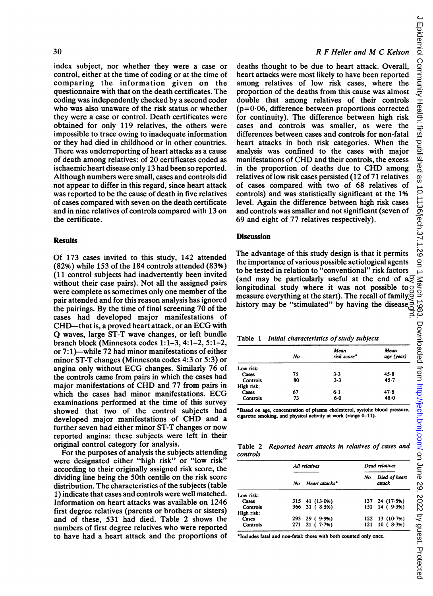index subject, nor whether they were a case or control, either at the time of coding or at the time of comparing the information given on the questionnaire with that on the death certificates. The coding was independently checked by a second coder who was also unaware of the risk status or whether they were a case or control. Death certificates were obtained for only 119 relatives, the others were impossible to trace owing to inadequate information or they had died in childhood or in other countries. There was underreporting of heart attacks as a cause of death among relatives: of 20 certificates coded as ischaemic heart disease only 13 had been so reported. Although numbers were small, cases and controls did not appear to differ in this regard, since heart attack was reported to be the cause of death in five relatives of cases compared with seven on the death certificate and in nine relatives of controls compared with 13 on the certificate.

#### **Results**

Of 173 cases invited to this study, 142 attended (82%) while 153 of the 184 controls attended (83%) (11 control subjects had inadvertently been invited without their case pairs). Not all the assigned pairs were complete as sometimes only one member of the pair attended and for this reason analysis has ignored the pairings. By the time of final screening 70 of the cases had developed major manifestations of CHD-that is, a proved heart attack, or an ECG with Q waves, large ST-T wave changes, or left bundle branch block (Minnesota codes 1:1-3, 4:1-2, 5:1-2, or 7: 1)-while 72 had minor manifestations of either minor ST-T changes (Minnesota codes 4:3 or 5:3) or angina only without ECG changes. Similarly <sup>76</sup> of the controls came from pairs in which the cases had major manifestations of CHD and <sup>77</sup> from pairs in which the cases had minor manifestations. ECG examinations performed at the time of this survey showed that two of the control subjects had developed major manifestations of CHD and <sup>a</sup> further seven had either minor ST-T changes or now reported angina: these subjects were left in their original control category for analysis.

For the purposes of analysis the subjects attending were designated either "high risk" or "low risk" according to their originally assigned risk score, the dividing line being the 50th centile on the risk score distribution. The characteristics of the subjects (table 1) indicate that cases and controls were well matched. Information on heart attacks was available on 1246 first degree relatives (parents or brothers or sisters) and of these, 531 had died. Table 2 shows the numbers of first degree relatives who were reported to have had a heart attack and the proportions of

#### R F Heller and M C Kelson

deaths thought to be due to heart attack. Overall, heart attacks were most likely to have been reported among relatives of low risk cases, where the proportion of the deaths from this cause was almost double that among relatives of their controls  $(p=0.06,$  difference between proportions corrected for continuity). The difference between high risk cases and controls was smaller, as were the differences between cases and controls for non-fatal heart attacks in both risk categories. When the analysis was confined to the cases with major manifestations of CHD and their controls, the excess in the proportion of deaths due to CHD among relatives of low risk cases persisted (12 of 71 relatives of cases compared with two of 68 relatives of controls) and was statistically significant at the 1% level. Again the difference between high risk cases and controls was smaller and not significant (seven of 69 and eight of 77 relatives respectively).

#### **Discussion**

The advantage of this study design is that it permits the importance of various possible aetiological agents to be tested in relation to "conventional" risk factors (and may be particularly useful at the end of  $a\overline{Q}$ longitudinal study where it was not possible to measure everything at the start). The recall of family history may be "stimulated" by having the disease by copyright.

|  |  |  | Table 1 Initial characteristics of study subjects |  |  |  |
|--|--|--|---------------------------------------------------|--|--|--|
|--|--|--|---------------------------------------------------|--|--|--|

|            | No | Mean<br>risk score* | Mean<br>age (year) |
|------------|----|---------------------|--------------------|
| Low risk:  |    |                     |                    |
| Cases      | 75 | $3 - 3$             | 45.8               |
| Controls   | 80 | 3.3                 | $45 - 7$           |
| High risk: |    |                     |                    |
| Cases      | 67 | $6-1$               | 47.8               |
| Controls   | 73 | $6 - 0$             | 48.0               |

'Based on age, concentration of plasma cholesterol, systolic blood pressure, cigarette smoking, and physical activity at work (range 0-11).

| Table 2 Reported heart attacks in relatives of cases and |  |  |  |  |
|----------------------------------------------------------|--|--|--|--|
| controls                                                 |  |  |  |  |

|            |    | All relatives       | Dead relatives |                              |  |
|------------|----|---------------------|----------------|------------------------------|--|
|            | No | Heart attacks*      | No             | Died of heart<br>attack      |  |
| Low risk:  |    |                     |                |                              |  |
| Cases      |    | $315$ 41 (13.0%)    |                | 137 24 (17.5%)               |  |
| Controls   |    | $366$ 31 ( $8.5%$ ) |                | 151 14 ( 9.3%)               |  |
| High risk: |    |                     |                |                              |  |
| Cases      |    | 293 29 (9.9%)       |                | 122 13 (10.7%)               |  |
| Controls   |    | $271$ 21 ( $7.7%$ ) |                | $121 \quad 10 \quad (8.3\%)$ |  |

Includes fatal and non-fatal: those with both counted only once.